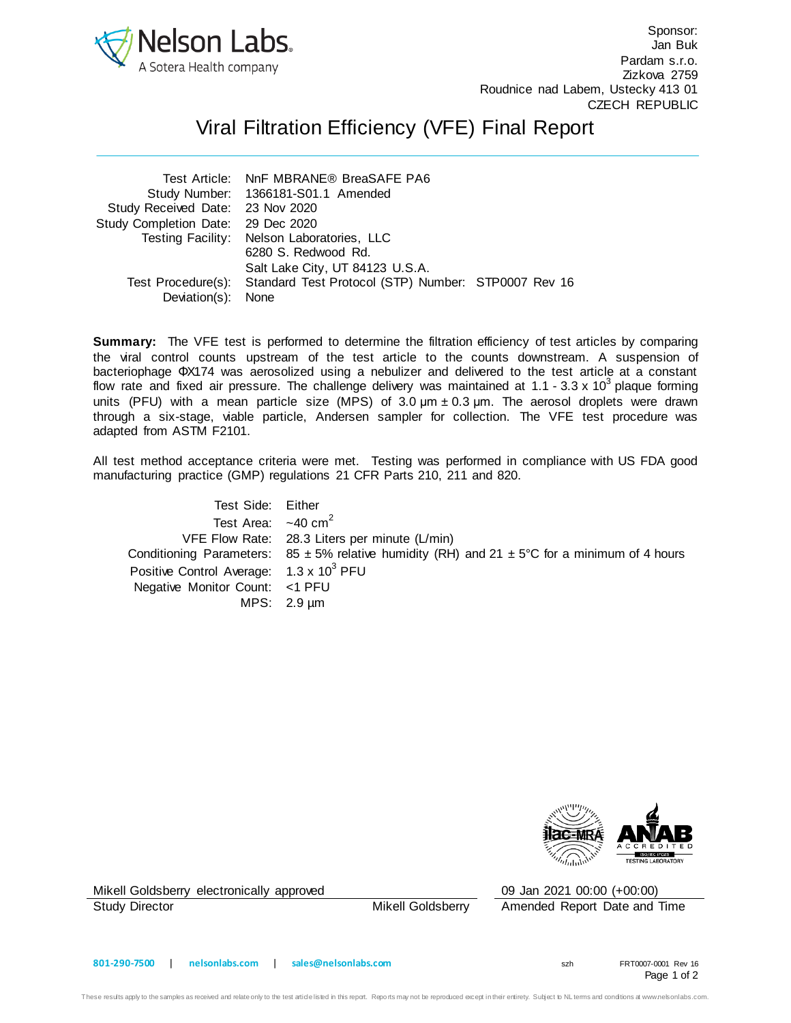

Sponsor: Jan Buk Pardam s.r.o. Zizkova 2759 Roudnice nad Labem, Ustecky 413 01 CZECH REPUBLIC

## Viral Filtration Efficiency (VFE) Final Report

| Test Article: NnF MBRANE® BreaSAFE PA6 |                                                                                                                                                                                   |                                                                        |
|----------------------------------------|-----------------------------------------------------------------------------------------------------------------------------------------------------------------------------------|------------------------------------------------------------------------|
|                                        |                                                                                                                                                                                   |                                                                        |
|                                        |                                                                                                                                                                                   |                                                                        |
|                                        |                                                                                                                                                                                   |                                                                        |
|                                        |                                                                                                                                                                                   |                                                                        |
| 6280 S. Redwood Rd.                    |                                                                                                                                                                                   |                                                                        |
| Salt Lake City, UT 84123 U.S.A.        |                                                                                                                                                                                   |                                                                        |
|                                        |                                                                                                                                                                                   |                                                                        |
|                                        |                                                                                                                                                                                   |                                                                        |
|                                        | Study Number: 1366181-S01.1 Amended<br>Study Received Date: 23 Nov 2020<br>Study Completion Date: 29 Dec 2020<br>Testing Facility: Nelson Laboratories, LLC<br>Deviation(s): None | Test Procedure(s): Standard Test Protocol (STP) Number: STP0007 Rev 16 |

**Summary:** The VFE test is performed to determine the filtration efficiency of test articles by comparing the viral control counts upstream of the test article to the counts downstream. A suspension of bacteriophage ΦX174 was aerosolized using a nebulizer and delivered to the test article at a constant flow rate and fixed air pressure. The challenge delivery was maintained at 1.1 - 3.3 x 10<sup>3</sup> plaque forming units (PFU) with a mean particle size (MPS) of  $3.0 \text{ µm} \pm 0.3 \text{ µm}$ . The aerosol droplets were drawn through a six-stage, viable particle, Andersen sampler for collection. The VFE test procedure was adapted from ASTM F2101.

All test method acceptance criteria were met. Testing was performed in compliance with US FDA good manufacturing practice (GMP) regulations 21 CFR Parts 210, 211 and 820.

| Test Side: Either                               |                                                                                                               |
|-------------------------------------------------|---------------------------------------------------------------------------------------------------------------|
| Test Area: $\sim$ 40 cm <sup>2</sup>            |                                                                                                               |
|                                                 | VFE Flow Rate: 28.3 Liters per minute (L/min)                                                                 |
|                                                 | Conditioning Parameters: $85 \pm 5\%$ relative humidity (RH) and $21 \pm 5\degree$ C for a minimum of 4 hours |
| Positive Control Average: $1.3 \times 10^3$ PFU |                                                                                                               |
| Negative Monitor Count: <1 PFU                  |                                                                                                               |
|                                                 | MPS: $2.9 \mu m$                                                                                              |



Mikell Goldsberry electronically approved 09 Jan 2021 00:00 (+00:00)

Study Director **Mikell Goldsberry** Amended Report Date and Time

Page 1 of 2